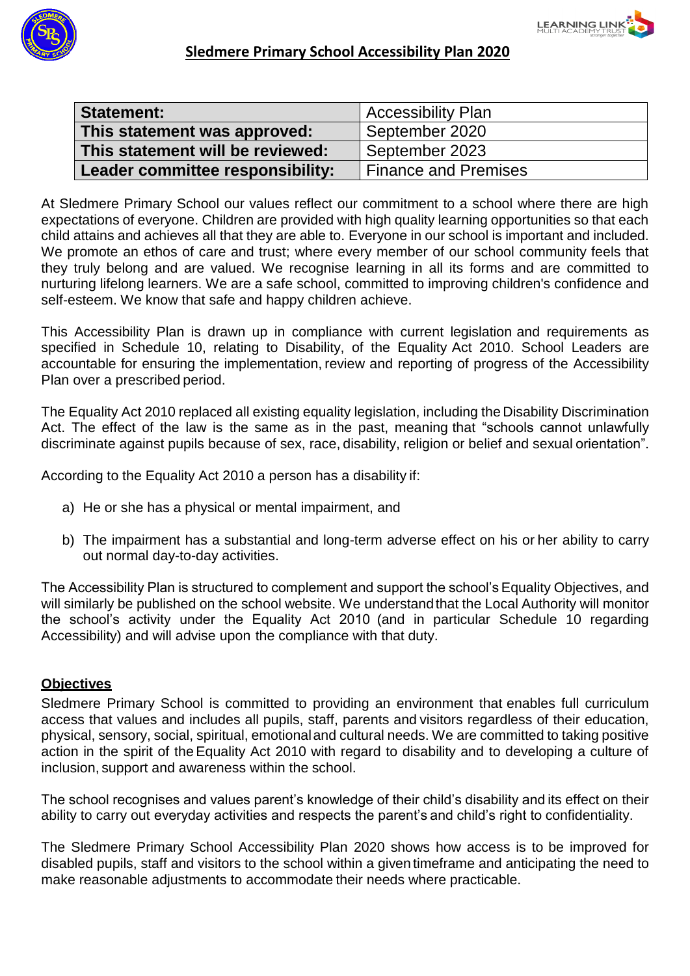



| <b>Statement:</b>                | <b>Accessibility Plan</b>   |  |  |  |
|----------------------------------|-----------------------------|--|--|--|
| This statement was approved:     | September 2020              |  |  |  |
| This statement will be reviewed: | September 2023              |  |  |  |
| Leader committee responsibility: | <b>Finance and Premises</b> |  |  |  |

At Sledmere Primary School our values reflect our commitment to a school where there are high expectations of everyone. Children are provided with high quality learning opportunities so that each child attains and achieves all that they are able to. Everyone in our school is important and included. We promote an ethos of care and trust; where every member of our school community feels that they truly belong and are valued. We recognise learning in all its forms and are committed to nurturing lifelong learners. We are a safe school, committed to improving children's confidence and self-esteem. We know that safe and happy children achieve.

This Accessibility Plan is drawn up in compliance with current legislation and requirements as specified in Schedule 10, relating to Disability, of the Equality Act 2010. School Leaders are accountable for ensuring the implementation, review and reporting of progress of the Accessibility Plan over a prescribed period.

The Equality Act 2010 replaced all existing equality legislation, including the Disability Discrimination Act. The effect of the law is the same as in the past, meaning that "schools cannot unlawfully discriminate against pupils because of sex, race, disability, religion or belief and sexual orientation".

According to the Equality Act 2010 a person has a disability if:

- a) He or she has a physical or mental impairment, and
- b) The impairment has a substantial and long-term adverse effect on his or her ability to carry out normal day-to-day activities.

The Accessibility Plan is structured to complement and support the school's Equality Objectives, and will similarly be published on the school website. We understandthat the Local Authority will monitor the school's activity under the Equality Act 2010 (and in particular Schedule 10 regarding Accessibility) and will advise upon the compliance with that duty.

#### **Objectives**

Sledmere Primary School is committed to providing an environment that enables full curriculum access that values and includes all pupils, staff, parents and visitors regardless of their education, physical, sensory, social, spiritual, emotionaland cultural needs. We are committed to taking positive action in the spirit of theEquality Act 2010 with regard to disability and to developing a culture of inclusion, support and awareness within the school.

The school recognises and values parent's knowledge of their child's disability and its effect on their ability to carry out everyday activities and respects the parent's and child's right to confidentiality.

The Sledmere Primary School Accessibility Plan 2020 shows how access is to be improved for disabled pupils, staff and visitors to the school within a given timeframe and anticipating the need to make reasonable adjustments to accommodate their needs where practicable.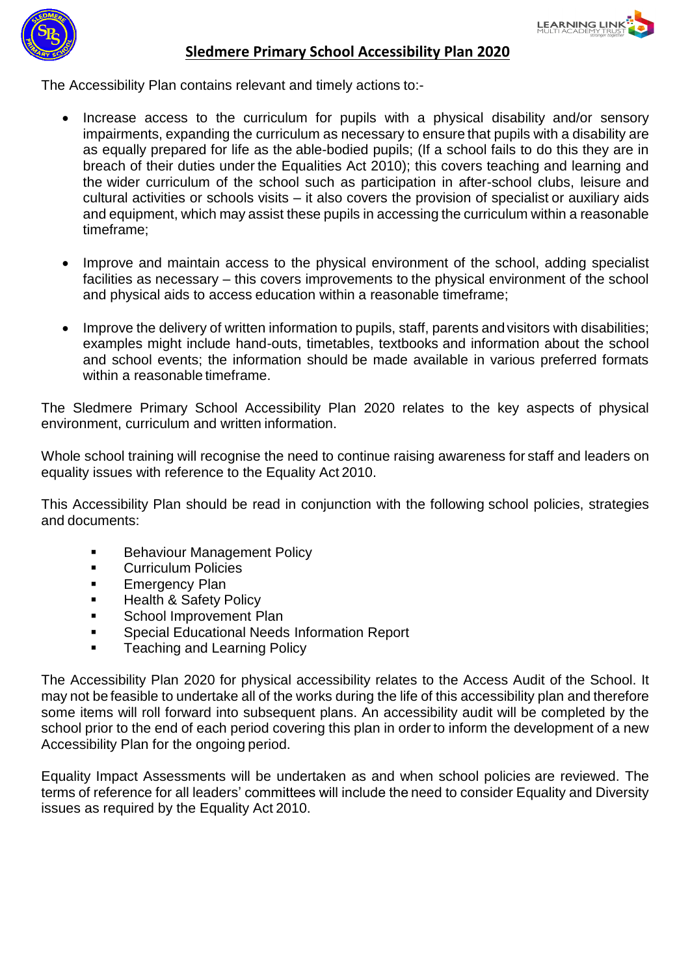

#### **Sledmere Primary School Accessibility Plan 2020**

The Accessibility Plan contains relevant and timely actions to:-

- Increase access to the curriculum for pupils with a physical disability and/or sensory impairments, expanding the curriculum as necessary to ensure that pupils with a disability are as equally prepared for life as the able-bodied pupils; (If a school fails to do this they are in breach of their duties under the Equalities Act 2010); this covers teaching and learning and the wider curriculum of the school such as participation in after-school clubs, leisure and cultural activities or schools visits – it also covers the provision of specialist or auxiliary aids and equipment, which may assist these pupils in accessing the curriculum within a reasonable timeframe;
- Improve and maintain access to the physical environment of the school, adding specialist facilities as necessary – this covers improvements to the physical environment of the school and physical aids to access education within a reasonable timeframe;
- Improve the delivery of written information to pupils, staff, parents andvisitors with disabilities; examples might include hand-outs, timetables, textbooks and information about the school and school events; the information should be made available in various preferred formats within a reasonable timeframe.

The Sledmere Primary School Accessibility Plan 2020 relates to the key aspects of physical environment, curriculum and written information.

Whole school training will recognise the need to continue raising awareness for staff and leaders on equality issues with reference to the Equality Act 2010.

This Accessibility Plan should be read in conjunction with the following school policies, strategies and documents:

- **Behaviour Management Policy**
- **Curriculum Policies**
- **Emergency Plan**
- **Health & Safety Policy**
- **School Improvement Plan**
- **Special Educational Needs Information Report**
- Teaching and Learning Policy

The Accessibility Plan 2020 for physical accessibility relates to the Access Audit of the School. It may not be feasible to undertake all of the works during the life of this accessibility plan and therefore some items will roll forward into subsequent plans. An accessibility audit will be completed by the school prior to the end of each period covering this plan in order to inform the development of a new Accessibility Plan for the ongoing period.

Equality Impact Assessments will be undertaken as and when school policies are reviewed. The terms of reference for all leaders' committees will include the need to consider Equality and Diversity issues as required by the Equality Act 2010.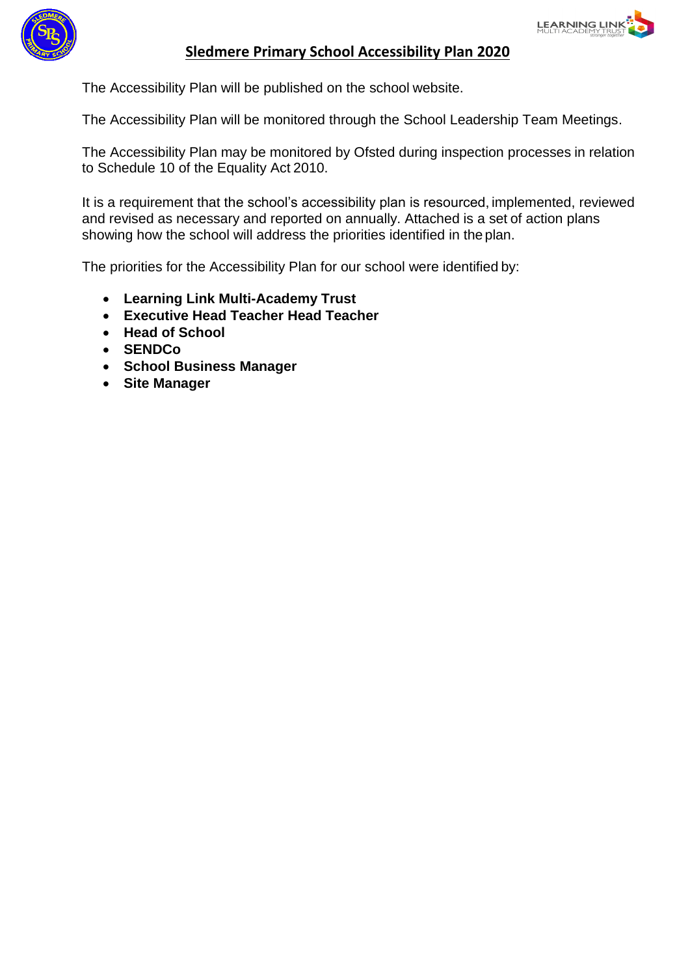



### **Sledmere Primary School Accessibility Plan 2020**

The Accessibility Plan will be published on the school website.

The Accessibility Plan will be monitored through the School Leadership Team Meetings.

The Accessibility Plan may be monitored by Ofsted during inspection processes in relation to Schedule 10 of the Equality Act 2010.

It is a requirement that the school's accessibility plan is resourced, implemented, reviewed and revised as necessary and reported on annually. Attached is a set of action plans showing how the school will address the priorities identified in the plan.

The priorities for the Accessibility Plan for our school were identified by:

- **Learning Link Multi-Academy Trust**
- **Executive Head Teacher Head Teacher**
- **Head of School**
- **SENDCo**
- **School Business Manager**
- **Site Manager**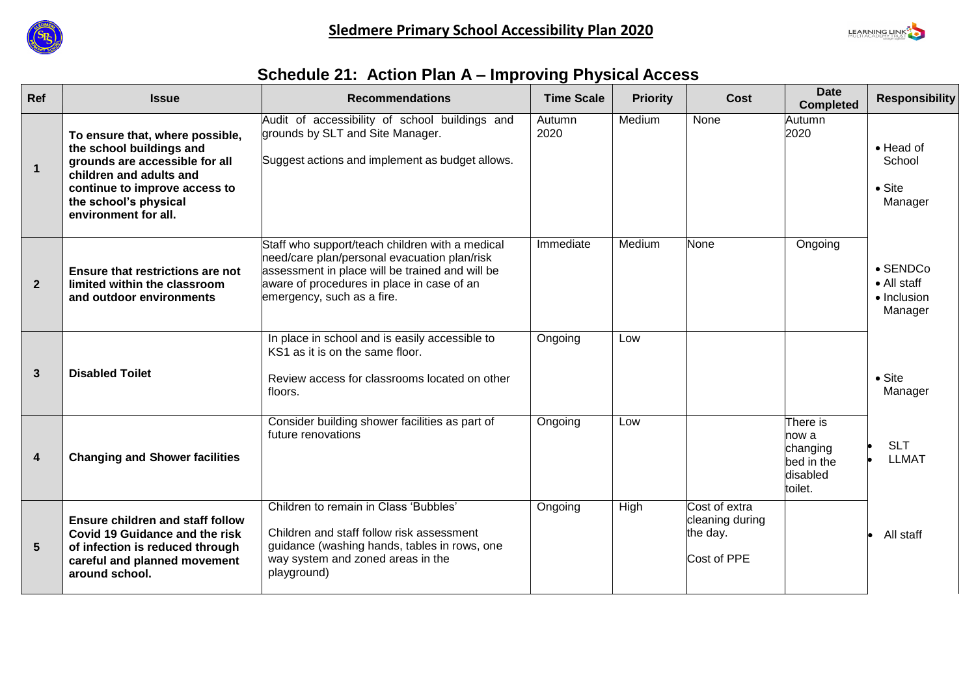



# **Schedule 21: Action Plan A – Improving Physical Access**

| <b>Ref</b>              | <b>Issue</b>                                                                                                                                                                                               | <b>Recommendations</b>                                                                                                                                                                                                         | <b>Time Scale</b> | <b>Priority</b> | <b>Cost</b>                                                 | <b>Date</b><br><b>Completed</b>                                    | <b>Responsibility</b>                                     |
|-------------------------|------------------------------------------------------------------------------------------------------------------------------------------------------------------------------------------------------------|--------------------------------------------------------------------------------------------------------------------------------------------------------------------------------------------------------------------------------|-------------------|-----------------|-------------------------------------------------------------|--------------------------------------------------------------------|-----------------------------------------------------------|
| $\mathbf{1}$            | To ensure that, where possible,<br>the school buildings and<br>grounds are accessible for all<br>children and adults and<br>continue to improve access to<br>the school's physical<br>environment for all. | Audit of accessibility of school buildings and<br>grounds by SLT and Site Manager.<br>Suggest actions and implement as budget allows.                                                                                          | Autumn<br>2020    | Medium          | None                                                        | Autumn<br>2020                                                     | $\bullet$ Head of<br>School<br>$\bullet$ Site<br>Manager  |
| $\overline{2}$          | Ensure that restrictions are not<br>limited within the classroom<br>and outdoor environments                                                                                                               | Staff who support/teach children with a medical<br>need/care plan/personal evacuation plan/risk<br>assessment in place will be trained and will be<br>aware of procedures in place in case of an<br>emergency, such as a fire. | Immediate         | Medium          | None                                                        | Ongoing                                                            | $\bullet$ SENDCo<br>• All staff<br>• Inclusion<br>Manager |
| 3                       | <b>Disabled Toilet</b>                                                                                                                                                                                     | In place in school and is easily accessible to<br>KS1 as it is on the same floor.<br>Review access for classrooms located on other<br>floors.                                                                                  | Ongoing           | Low             |                                                             |                                                                    | $\bullet$ Site<br>Manager                                 |
| $\overline{\mathbf{4}}$ | <b>Changing and Shower facilities</b>                                                                                                                                                                      | Consider building shower facilities as part of<br>future renovations                                                                                                                                                           | Ongoing           | Low             |                                                             | There is<br>now a<br>changing<br>bed in the<br>disabled<br>toilet. | <b>SLT</b><br><b>LLMAT</b>                                |
| $5\overline{)}$         | <b>Ensure children and staff follow</b><br>Covid 19 Guidance and the risk<br>of infection is reduced through<br>careful and planned movement<br>around school.                                             | Children to remain in Class 'Bubbles'<br>Children and staff follow risk assessment<br>guidance (washing hands, tables in rows, one<br>way system and zoned areas in the<br>playground)                                         | Ongoing           | High            | Cost of extra<br>cleaning during<br>the day.<br>Cost of PPE |                                                                    | All staff                                                 |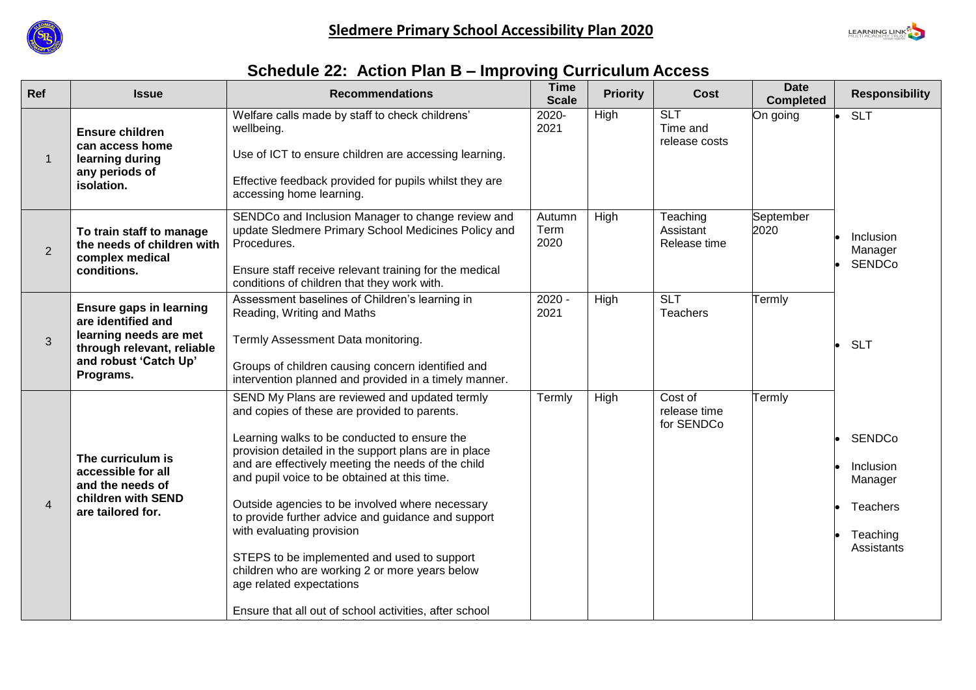



# **Schedule 22: Action Plan B – Improving Curriculum Access**

| Ref                      | <b>Issue</b>                                                                                                                                       | <b>Recommendations</b>                                                                                                                                                                                                                                                                                                                                                                                                                                                                                                                                                                                                                   | <b>Time</b><br><b>Scale</b> | <b>Priority</b> | <b>Cost</b>                             | <b>Date</b><br><b>Completed</b> | <b>Responsibility</b>                                                              |
|--------------------------|----------------------------------------------------------------------------------------------------------------------------------------------------|------------------------------------------------------------------------------------------------------------------------------------------------------------------------------------------------------------------------------------------------------------------------------------------------------------------------------------------------------------------------------------------------------------------------------------------------------------------------------------------------------------------------------------------------------------------------------------------------------------------------------------------|-----------------------------|-----------------|-----------------------------------------|---------------------------------|------------------------------------------------------------------------------------|
| $\mathbf{1}$             | <b>Ensure children</b><br>can access home<br>learning during<br>any periods of<br>isolation.                                                       | Welfare calls made by staff to check childrens'<br>wellbeing.<br>Use of ICT to ensure children are accessing learning.<br>Effective feedback provided for pupils whilst they are<br>accessing home learning.                                                                                                                                                                                                                                                                                                                                                                                                                             | 2020-<br>2021               | High            | <b>SLT</b><br>Time and<br>release costs | On going                        | <b>SLT</b>                                                                         |
| $\overline{2}$           | To train staff to manage<br>the needs of children with<br>complex medical<br>conditions.                                                           | SENDCo and Inclusion Manager to change review and<br>update Sledmere Primary School Medicines Policy and<br>Procedures.<br>Ensure staff receive relevant training for the medical<br>conditions of children that they work with.                                                                                                                                                                                                                                                                                                                                                                                                         | Autumn<br>Term<br>2020      | High            | Teaching<br>Assistant<br>Release time   | September<br>2020               | Inclusion<br>Manager<br><b>SENDCo</b>                                              |
| 3                        | <b>Ensure gaps in learning</b><br>are identified and<br>learning needs are met<br>through relevant, reliable<br>and robust 'Catch Up'<br>Programs. | Assessment baselines of Children's learning in<br>Reading, Writing and Maths<br>Termly Assessment Data monitoring.<br>Groups of children causing concern identified and<br>intervention planned and provided in a timely manner.                                                                                                                                                                                                                                                                                                                                                                                                         | $2020 -$<br>2021            | <b>High</b>     | <b>SLT</b><br><b>Teachers</b>           | Termly                          | <b>SLT</b>                                                                         |
| $\overline{\mathcal{A}}$ | The curriculum is<br>accessible for all<br>and the needs of<br>children with SEND<br>are tailored for.                                             | SEND My Plans are reviewed and updated termly<br>and copies of these are provided to parents.<br>Learning walks to be conducted to ensure the<br>provision detailed in the support plans are in place<br>and are effectively meeting the needs of the child<br>and pupil voice to be obtained at this time.<br>Outside agencies to be involved where necessary<br>to provide further advice and guidance and support<br>with evaluating provision<br>STEPS to be implemented and used to support<br>children who are working 2 or more years below<br>age related expectations<br>Ensure that all out of school activities, after school | Termly                      | High            | Cost of<br>release time<br>for SENDCo   | Termly                          | <b>SENDCo</b><br>Inclusion<br>Manager<br><b>Teachers</b><br>Teaching<br>Assistants |